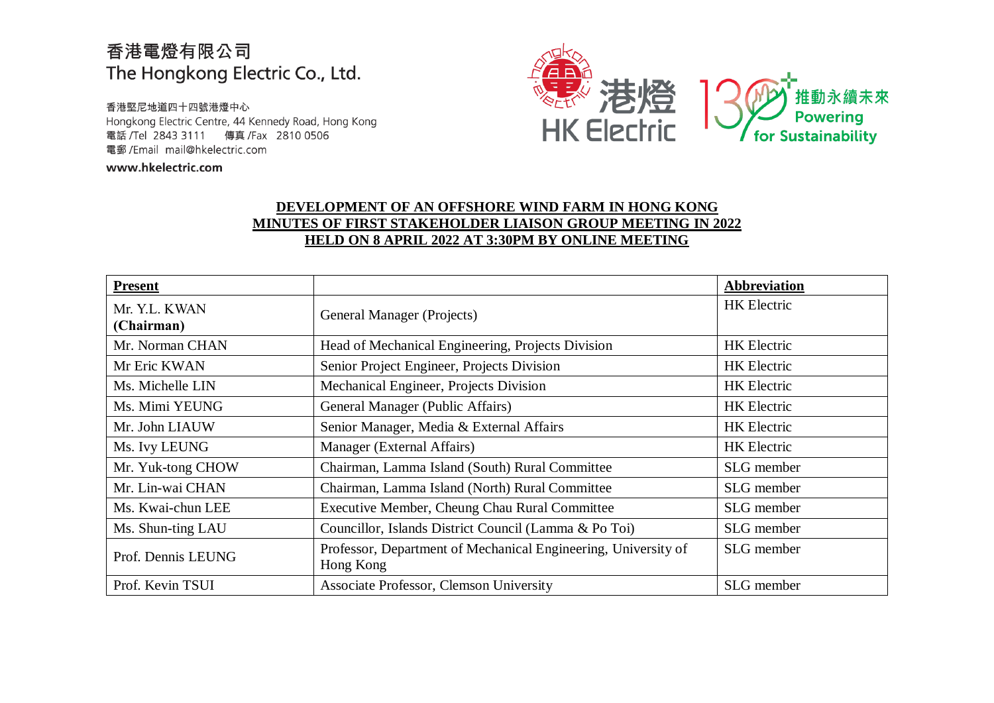## 香港電燈有限公司 The Hongkong Electric Co., Ltd.

香港堅尼地道四十四號港燈中心 Hongkong Electric Centre, 44 Kennedy Road, Hong Kong 電話/Tel 2843 3111 傳真/Fax 2810 0506 電郵 /Email mail@hkelectric.com

www.hkelectric.com



## **DEVELOPMENT OF AN OFFSHORE WIND FARM IN HONG KONG MINUTES OF FIRST STAKEHOLDER LIAISON GROUP MEETING IN 2022 HELD ON 8 APRIL 2022 AT 3:30PM BY ONLINE MEETING**

| <b>Present</b>              |                                                                             | Abbreviation       |
|-----------------------------|-----------------------------------------------------------------------------|--------------------|
| Mr. Y.L. KWAN<br>(Chairman) | General Manager (Projects)                                                  | <b>HK</b> Electric |
| Mr. Norman CHAN             | Head of Mechanical Engineering, Projects Division                           | <b>HK</b> Electric |
| Mr Eric KWAN                | Senior Project Engineer, Projects Division                                  | <b>HK</b> Electric |
| Ms. Michelle LIN            | Mechanical Engineer, Projects Division                                      | <b>HK</b> Electric |
| Ms. Mimi YEUNG              | General Manager (Public Affairs)                                            | <b>HK</b> Electric |
| Mr. John LIAUW              | Senior Manager, Media & External Affairs                                    | <b>HK</b> Electric |
| Ms. Ivy LEUNG               | Manager (External Affairs)                                                  | <b>HK</b> Electric |
| Mr. Yuk-tong CHOW           | Chairman, Lamma Island (South) Rural Committee                              | SLG member         |
| Mr. Lin-wai CHAN            | Chairman, Lamma Island (North) Rural Committee                              | SLG member         |
| Ms. Kwai-chun LEE           | Executive Member, Cheung Chau Rural Committee                               | SLG member         |
| Ms. Shun-ting LAU           | Councillor, Islands District Council (Lamma & Po Toi)                       | SLG member         |
| Prof. Dennis LEUNG          | Professor, Department of Mechanical Engineering, University of<br>Hong Kong | SLG member         |
| Prof. Kevin TSUI            | Associate Professor, Clemson University                                     | SLG member         |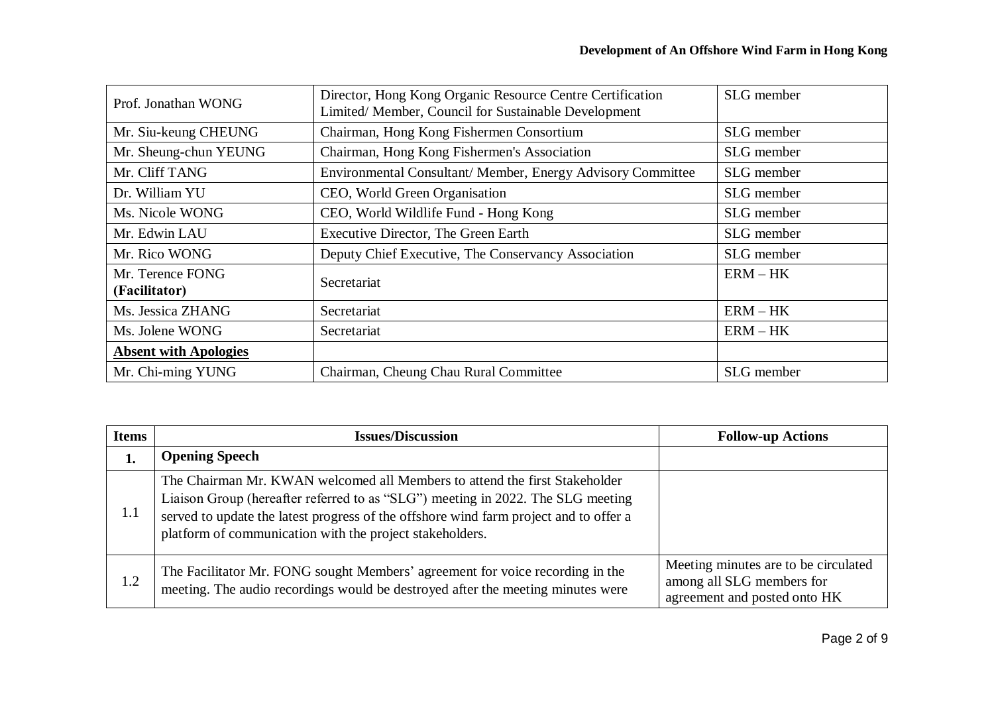| Prof. Jonathan WONG               | Director, Hong Kong Organic Resource Centre Certification<br>Limited/ Member, Council for Sustainable Development | SLG member |
|-----------------------------------|-------------------------------------------------------------------------------------------------------------------|------------|
| Mr. Siu-keung CHEUNG              | Chairman, Hong Kong Fishermen Consortium                                                                          | SLG member |
| Mr. Sheung-chun YEUNG             | Chairman, Hong Kong Fishermen's Association                                                                       | SLG member |
| Mr. Cliff TANG                    | Environmental Consultant/Member, Energy Advisory Committee                                                        | SLG member |
| Dr. William YU                    | CEO, World Green Organisation                                                                                     | SLG member |
| Ms. Nicole WONG                   | CEO, World Wildlife Fund - Hong Kong                                                                              | SLG member |
| Mr. Edwin LAU                     | Executive Director, The Green Earth                                                                               | SLG member |
| Mr. Rico WONG                     | Deputy Chief Executive, The Conservancy Association                                                               | SLG member |
| Mr. Terence FONG<br>(Facilitator) | Secretariat                                                                                                       | $ERM-HK$   |
| Ms. Jessica ZHANG                 | Secretariat                                                                                                       | $ERM-HK$   |
| Ms. Jolene WONG                   | Secretariat                                                                                                       | $ERM-HK$   |
| <b>Absent with Apologies</b>      |                                                                                                                   |            |
| Mr. Chi-ming YUNG                 | Chairman, Cheung Chau Rural Committee                                                                             | SLG member |

| <b>Items</b> | <b>Issues/Discussion</b>                                                                                                                                                                                                                                                                                           | <b>Follow-up Actions</b>                                                                          |
|--------------|--------------------------------------------------------------------------------------------------------------------------------------------------------------------------------------------------------------------------------------------------------------------------------------------------------------------|---------------------------------------------------------------------------------------------------|
| 1.           | <b>Opening Speech</b>                                                                                                                                                                                                                                                                                              |                                                                                                   |
| 1.1          | The Chairman Mr. KWAN welcomed all Members to attend the first Stakeholder<br>Liaison Group (hereafter referred to as "SLG") meeting in 2022. The SLG meeting<br>served to update the latest progress of the offshore wind farm project and to offer a<br>platform of communication with the project stakeholders. |                                                                                                   |
| 1.2          | The Facilitator Mr. FONG sought Members' agreement for voice recording in the<br>meeting. The audio recordings would be destroyed after the meeting minutes were                                                                                                                                                   | Meeting minutes are to be circulated<br>among all SLG members for<br>agreement and posted onto HK |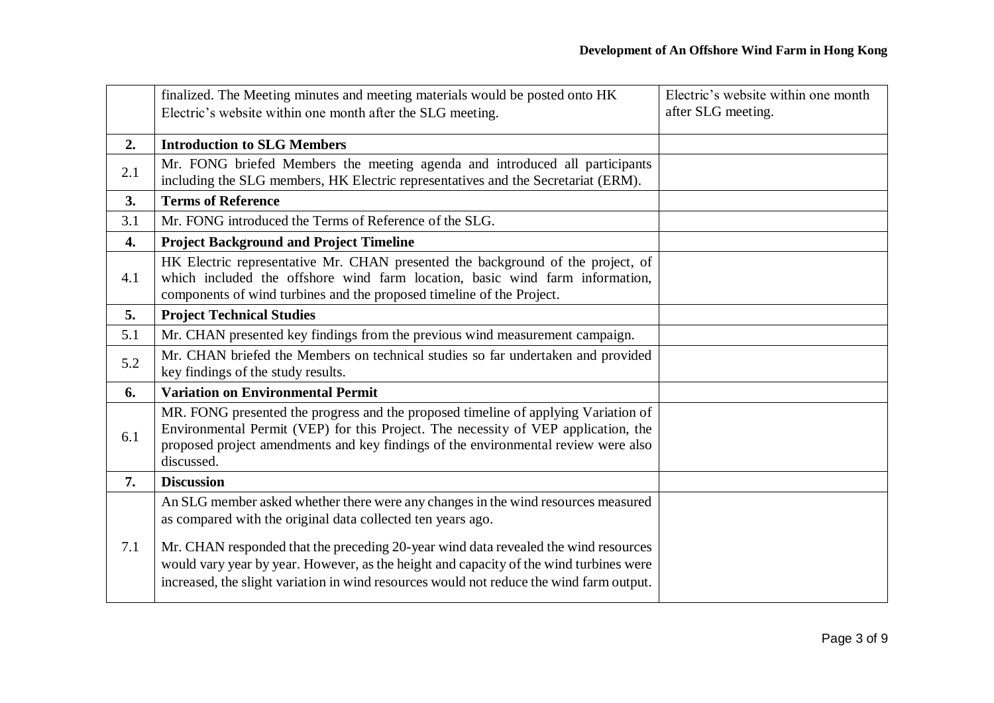|     | finalized. The Meeting minutes and meeting materials would be posted onto HK<br>Electric's website within one month after the SLG meeting.                                                                                                                                                                                        | Electric's website within one month<br>after SLG meeting. |
|-----|-----------------------------------------------------------------------------------------------------------------------------------------------------------------------------------------------------------------------------------------------------------------------------------------------------------------------------------|-----------------------------------------------------------|
| 2.  | <b>Introduction to SLG Members</b>                                                                                                                                                                                                                                                                                                |                                                           |
| 2.1 | Mr. FONG briefed Members the meeting agenda and introduced all participants<br>including the SLG members, HK Electric representatives and the Secretariat (ERM).                                                                                                                                                                  |                                                           |
| 3.  | <b>Terms of Reference</b>                                                                                                                                                                                                                                                                                                         |                                                           |
| 3.1 | Mr. FONG introduced the Terms of Reference of the SLG.                                                                                                                                                                                                                                                                            |                                                           |
| 4.  | <b>Project Background and Project Timeline</b>                                                                                                                                                                                                                                                                                    |                                                           |
| 4.1 | HK Electric representative Mr. CHAN presented the background of the project, of<br>which included the offshore wind farm location, basic wind farm information,<br>components of wind turbines and the proposed timeline of the Project.                                                                                          |                                                           |
| 5.  | <b>Project Technical Studies</b>                                                                                                                                                                                                                                                                                                  |                                                           |
| 5.1 | Mr. CHAN presented key findings from the previous wind measurement campaign.                                                                                                                                                                                                                                                      |                                                           |
| 5.2 | Mr. CHAN briefed the Members on technical studies so far undertaken and provided<br>key findings of the study results.                                                                                                                                                                                                            |                                                           |
| 6.  | <b>Variation on Environmental Permit</b>                                                                                                                                                                                                                                                                                          |                                                           |
| 6.1 | MR. FONG presented the progress and the proposed timeline of applying Variation of<br>Environmental Permit (VEP) for this Project. The necessity of VEP application, the<br>proposed project amendments and key findings of the environmental review were also<br>discussed.                                                      |                                                           |
| 7.  | <b>Discussion</b>                                                                                                                                                                                                                                                                                                                 |                                                           |
| 7.1 | An SLG member asked whether there were any changes in the wind resources measured<br>as compared with the original data collected ten years ago.<br>Mr. CHAN responded that the preceding 20-year wind data revealed the wind resources<br>would vary year by year. However, as the height and capacity of the wind turbines were |                                                           |
|     | increased, the slight variation in wind resources would not reduce the wind farm output.                                                                                                                                                                                                                                          |                                                           |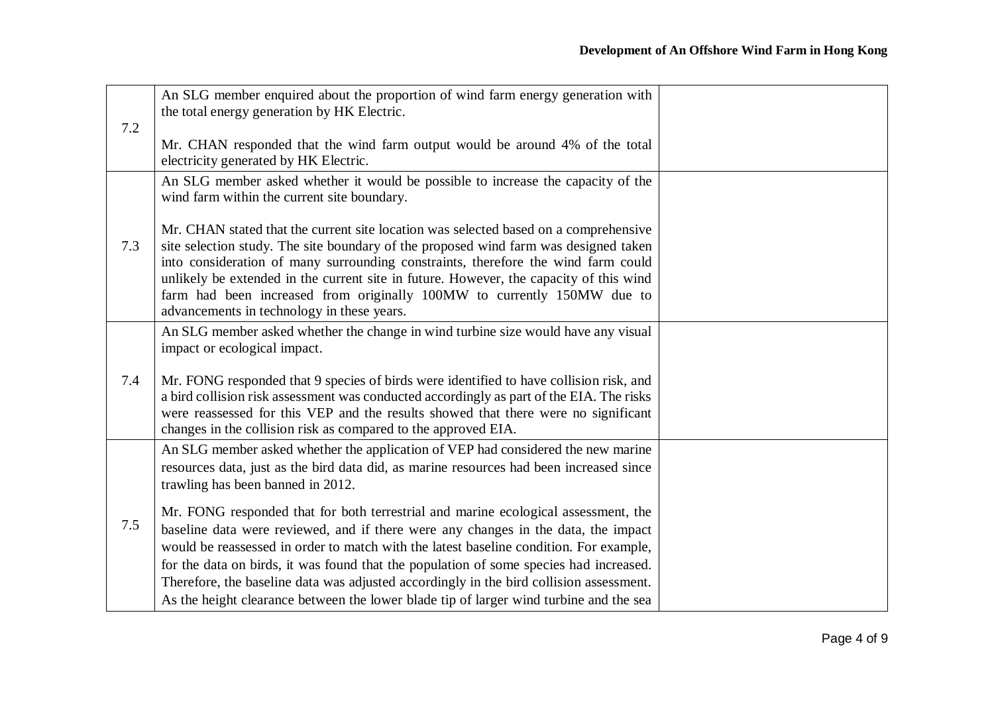| 7.2 | An SLG member enquired about the proportion of wind farm energy generation with<br>the total energy generation by HK Electric.                                                                                                                                                                                                                                                                                                                                                       |  |
|-----|--------------------------------------------------------------------------------------------------------------------------------------------------------------------------------------------------------------------------------------------------------------------------------------------------------------------------------------------------------------------------------------------------------------------------------------------------------------------------------------|--|
|     | Mr. CHAN responded that the wind farm output would be around 4% of the total<br>electricity generated by HK Electric.                                                                                                                                                                                                                                                                                                                                                                |  |
|     | An SLG member asked whether it would be possible to increase the capacity of the<br>wind farm within the current site boundary.                                                                                                                                                                                                                                                                                                                                                      |  |
| 7.3 | Mr. CHAN stated that the current site location was selected based on a comprehensive<br>site selection study. The site boundary of the proposed wind farm was designed taken<br>into consideration of many surrounding constraints, therefore the wind farm could<br>unlikely be extended in the current site in future. However, the capacity of this wind<br>farm had been increased from originally 100MW to currently 150MW due to<br>advancements in technology in these years. |  |
| 7.4 | An SLG member asked whether the change in wind turbine size would have any visual<br>impact or ecological impact.<br>Mr. FONG responded that 9 species of birds were identified to have collision risk, and<br>a bird collision risk assessment was conducted accordingly as part of the EIA. The risks                                                                                                                                                                              |  |
|     | were reassessed for this VEP and the results showed that there were no significant<br>changes in the collision risk as compared to the approved EIA.                                                                                                                                                                                                                                                                                                                                 |  |
|     | An SLG member asked whether the application of VEP had considered the new marine<br>resources data, just as the bird data did, as marine resources had been increased since<br>trawling has been banned in 2012.                                                                                                                                                                                                                                                                     |  |
| 7.5 | Mr. FONG responded that for both terrestrial and marine ecological assessment, the<br>baseline data were reviewed, and if there were any changes in the data, the impact<br>would be reassessed in order to match with the latest baseline condition. For example,<br>for the data on birds, it was found that the population of some species had increased.                                                                                                                         |  |
|     | Therefore, the baseline data was adjusted accordingly in the bird collision assessment.<br>As the height clearance between the lower blade tip of larger wind turbine and the sea                                                                                                                                                                                                                                                                                                    |  |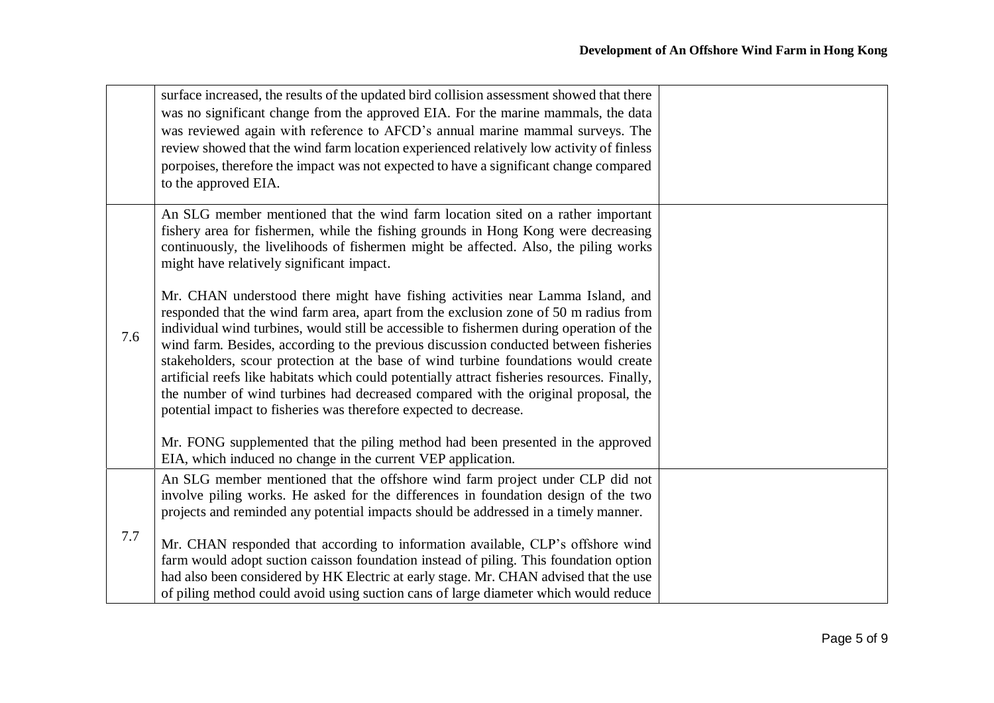|     | surface increased, the results of the updated bird collision assessment showed that there<br>was no significant change from the approved EIA. For the marine mammals, the data<br>was reviewed again with reference to AFCD's annual marine mammal surveys. The<br>review showed that the wind farm location experienced relatively low activity of finless<br>porpoises, therefore the impact was not expected to have a significant change compared<br>to the approved EIA.                                                                                                                                                                                                                                                                                                                                                                                                                                                                                                                                                                                                                                                                                                 |  |
|-----|-------------------------------------------------------------------------------------------------------------------------------------------------------------------------------------------------------------------------------------------------------------------------------------------------------------------------------------------------------------------------------------------------------------------------------------------------------------------------------------------------------------------------------------------------------------------------------------------------------------------------------------------------------------------------------------------------------------------------------------------------------------------------------------------------------------------------------------------------------------------------------------------------------------------------------------------------------------------------------------------------------------------------------------------------------------------------------------------------------------------------------------------------------------------------------|--|
| 7.6 | An SLG member mentioned that the wind farm location sited on a rather important<br>fishery area for fishermen, while the fishing grounds in Hong Kong were decreasing<br>continuously, the livelihoods of fishermen might be affected. Also, the piling works<br>might have relatively significant impact.<br>Mr. CHAN understood there might have fishing activities near Lamma Island, and<br>responded that the wind farm area, apart from the exclusion zone of 50 m radius from<br>individual wind turbines, would still be accessible to fishermen during operation of the<br>wind farm. Besides, according to the previous discussion conducted between fisheries<br>stakeholders, scour protection at the base of wind turbine foundations would create<br>artificial reefs like habitats which could potentially attract fisheries resources. Finally,<br>the number of wind turbines had decreased compared with the original proposal, the<br>potential impact to fisheries was therefore expected to decrease.<br>Mr. FONG supplemented that the piling method had been presented in the approved<br>EIA, which induced no change in the current VEP application. |  |
| 7.7 | An SLG member mentioned that the offshore wind farm project under CLP did not<br>involve piling works. He asked for the differences in foundation design of the two<br>projects and reminded any potential impacts should be addressed in a timely manner.<br>Mr. CHAN responded that according to information available, CLP's offshore wind<br>farm would adopt suction caisson foundation instead of piling. This foundation option<br>had also been considered by HK Electric at early stage. Mr. CHAN advised that the use<br>of piling method could avoid using suction cans of large diameter which would reduce                                                                                                                                                                                                                                                                                                                                                                                                                                                                                                                                                       |  |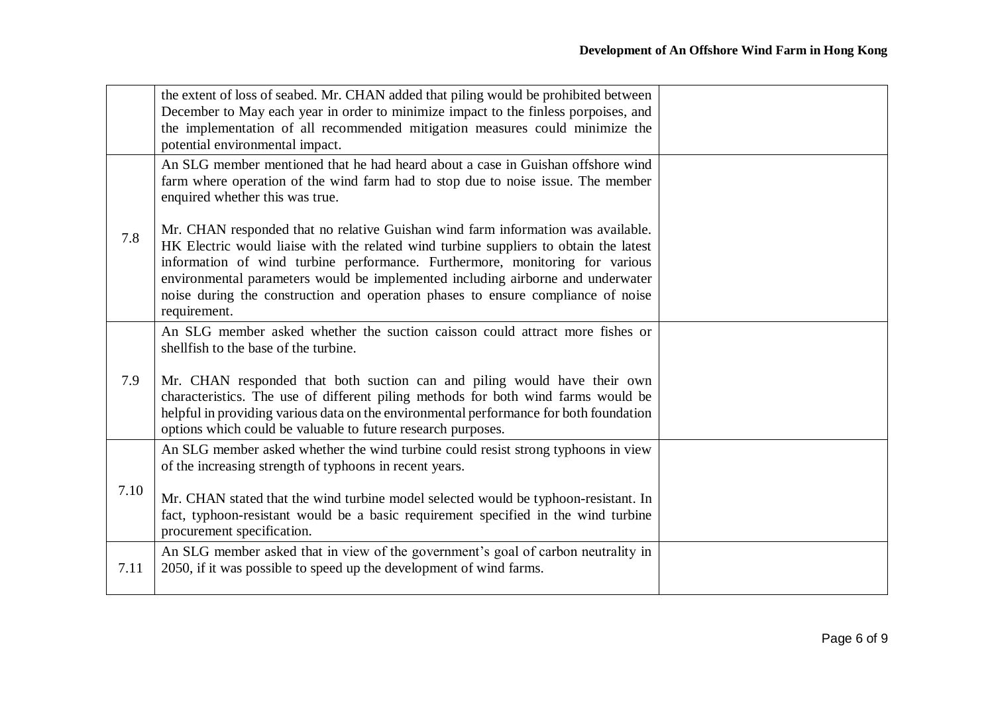|      | the extent of loss of seabed. Mr. CHAN added that piling would be prohibited between<br>December to May each year in order to minimize impact to the finless porpoises, and<br>the implementation of all recommended mitigation measures could minimize the<br>potential environmental impact.                                                                                                                                                   |  |
|------|--------------------------------------------------------------------------------------------------------------------------------------------------------------------------------------------------------------------------------------------------------------------------------------------------------------------------------------------------------------------------------------------------------------------------------------------------|--|
|      | An SLG member mentioned that he had heard about a case in Guishan offshore wind<br>farm where operation of the wind farm had to stop due to noise issue. The member<br>enquired whether this was true.                                                                                                                                                                                                                                           |  |
| 7.8  | Mr. CHAN responded that no relative Guishan wind farm information was available.<br>HK Electric would liaise with the related wind turbine suppliers to obtain the latest<br>information of wind turbine performance. Furthermore, monitoring for various<br>environmental parameters would be implemented including airborne and underwater<br>noise during the construction and operation phases to ensure compliance of noise<br>requirement. |  |
|      | An SLG member asked whether the suction caisson could attract more fishes or<br>shell fish to the base of the turbine.                                                                                                                                                                                                                                                                                                                           |  |
| 7.9  | Mr. CHAN responded that both suction can and piling would have their own<br>characteristics. The use of different piling methods for both wind farms would be<br>helpful in providing various data on the environmental performance for both foundation<br>options which could be valuable to future research purposes.                                                                                                                          |  |
|      | An SLG member asked whether the wind turbine could resist strong typhoons in view<br>of the increasing strength of typhoons in recent years.                                                                                                                                                                                                                                                                                                     |  |
| 7.10 | Mr. CHAN stated that the wind turbine model selected would be typhoon-resistant. In<br>fact, typhoon-resistant would be a basic requirement specified in the wind turbine<br>procurement specification.                                                                                                                                                                                                                                          |  |
| 7.11 | An SLG member asked that in view of the government's goal of carbon neutrality in<br>2050, if it was possible to speed up the development of wind farms.                                                                                                                                                                                                                                                                                         |  |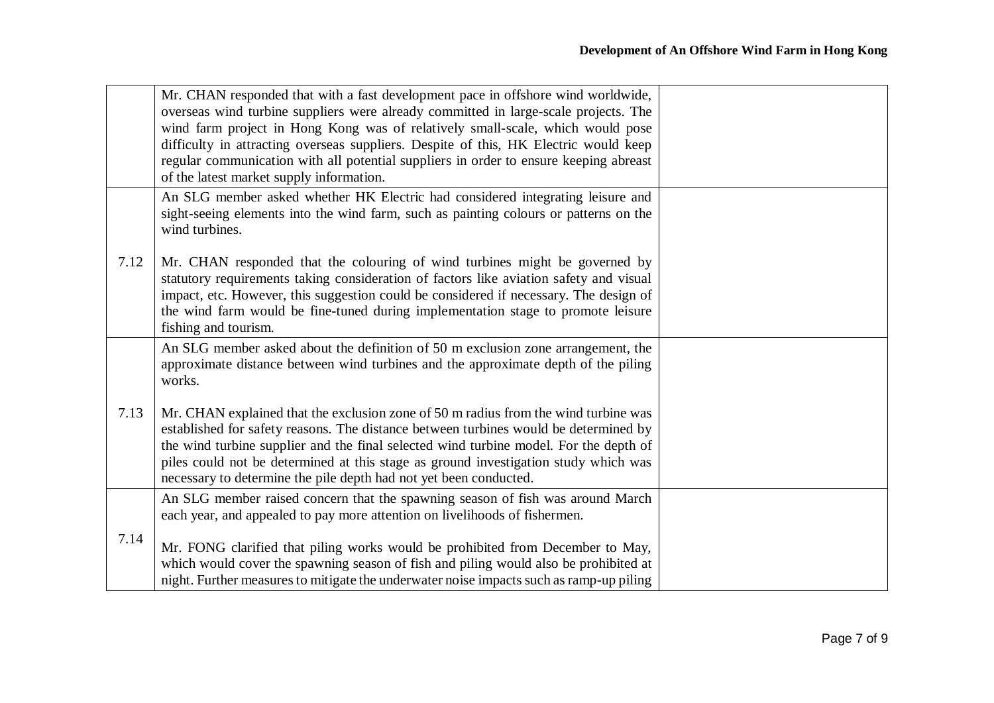|      | Mr. CHAN responded that with a fast development pace in offshore wind worldwide,<br>overseas wind turbine suppliers were already committed in large-scale projects. The<br>wind farm project in Hong Kong was of relatively small-scale, which would pose<br>difficulty in attracting overseas suppliers. Despite of this, HK Electric would keep<br>regular communication with all potential suppliers in order to ensure keeping abreast<br>of the latest market supply information. |  |
|------|----------------------------------------------------------------------------------------------------------------------------------------------------------------------------------------------------------------------------------------------------------------------------------------------------------------------------------------------------------------------------------------------------------------------------------------------------------------------------------------|--|
|      | An SLG member asked whether HK Electric had considered integrating leisure and<br>sight-seeing elements into the wind farm, such as painting colours or patterns on the<br>wind turbines.                                                                                                                                                                                                                                                                                              |  |
| 7.12 | Mr. CHAN responded that the colouring of wind turbines might be governed by<br>statutory requirements taking consideration of factors like aviation safety and visual<br>impact, etc. However, this suggestion could be considered if necessary. The design of<br>the wind farm would be fine-tuned during implementation stage to promote leisure<br>fishing and tourism.                                                                                                             |  |
|      | An SLG member asked about the definition of 50 m exclusion zone arrangement, the<br>approximate distance between wind turbines and the approximate depth of the piling<br>works.                                                                                                                                                                                                                                                                                                       |  |
| 7.13 | Mr. CHAN explained that the exclusion zone of 50 m radius from the wind turbine was<br>established for safety reasons. The distance between turbines would be determined by<br>the wind turbine supplier and the final selected wind turbine model. For the depth of<br>piles could not be determined at this stage as ground investigation study which was<br>necessary to determine the pile depth had not yet been conducted.                                                       |  |
|      | An SLG member raised concern that the spawning season of fish was around March<br>each year, and appealed to pay more attention on livelihoods of fishermen.                                                                                                                                                                                                                                                                                                                           |  |
| 7.14 | Mr. FONG clarified that piling works would be prohibited from December to May,<br>which would cover the spawning season of fish and piling would also be prohibited at<br>night. Further measures to mitigate the underwater noise impacts such as ramp-up piling                                                                                                                                                                                                                      |  |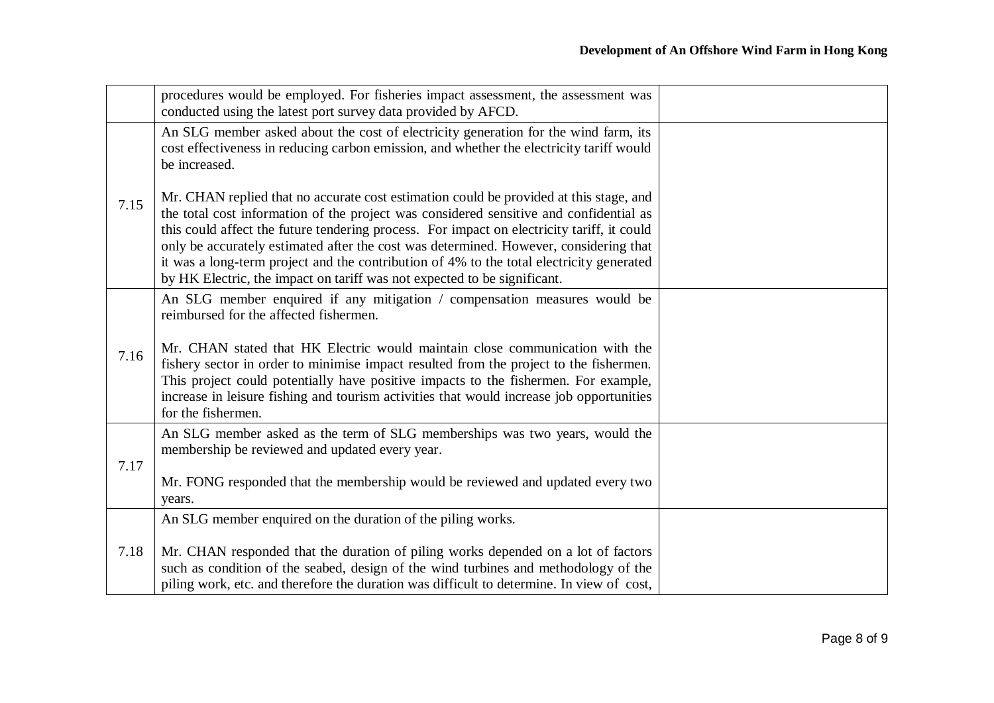|      | procedures would be employed. For fisheries impact assessment, the assessment was<br>conducted using the latest port survey data provided by AFCD.                                                                                                                                                                                                                                                                                                                                                                                              |  |
|------|-------------------------------------------------------------------------------------------------------------------------------------------------------------------------------------------------------------------------------------------------------------------------------------------------------------------------------------------------------------------------------------------------------------------------------------------------------------------------------------------------------------------------------------------------|--|
| 7.15 | An SLG member asked about the cost of electricity generation for the wind farm, its<br>cost effectiveness in reducing carbon emission, and whether the electricity tariff would<br>be increased.                                                                                                                                                                                                                                                                                                                                                |  |
|      | Mr. CHAN replied that no accurate cost estimation could be provided at this stage, and<br>the total cost information of the project was considered sensitive and confidential as<br>this could affect the future tendering process. For impact on electricity tariff, it could<br>only be accurately estimated after the cost was determined. However, considering that<br>it was a long-term project and the contribution of 4% to the total electricity generated<br>by HK Electric, the impact on tariff was not expected to be significant. |  |
| 7.16 | An SLG member enquired if any mitigation / compensation measures would be<br>reimbursed for the affected fishermen.<br>Mr. CHAN stated that HK Electric would maintain close communication with the<br>fishery sector in order to minimise impact resulted from the project to the fishermen.                                                                                                                                                                                                                                                   |  |
|      | This project could potentially have positive impacts to the fishermen. For example,<br>increase in leisure fishing and tourism activities that would increase job opportunities<br>for the fishermen.                                                                                                                                                                                                                                                                                                                                           |  |
| 7.17 | An SLG member asked as the term of SLG memberships was two years, would the<br>membership be reviewed and updated every year.                                                                                                                                                                                                                                                                                                                                                                                                                   |  |
|      | Mr. FONG responded that the membership would be reviewed and updated every two<br>years.                                                                                                                                                                                                                                                                                                                                                                                                                                                        |  |
|      | An SLG member enquired on the duration of the piling works.                                                                                                                                                                                                                                                                                                                                                                                                                                                                                     |  |
| 7.18 | Mr. CHAN responded that the duration of piling works depended on a lot of factors<br>such as condition of the seabed, design of the wind turbines and methodology of the<br>piling work, etc. and therefore the duration was difficult to determine. In view of cost,                                                                                                                                                                                                                                                                           |  |